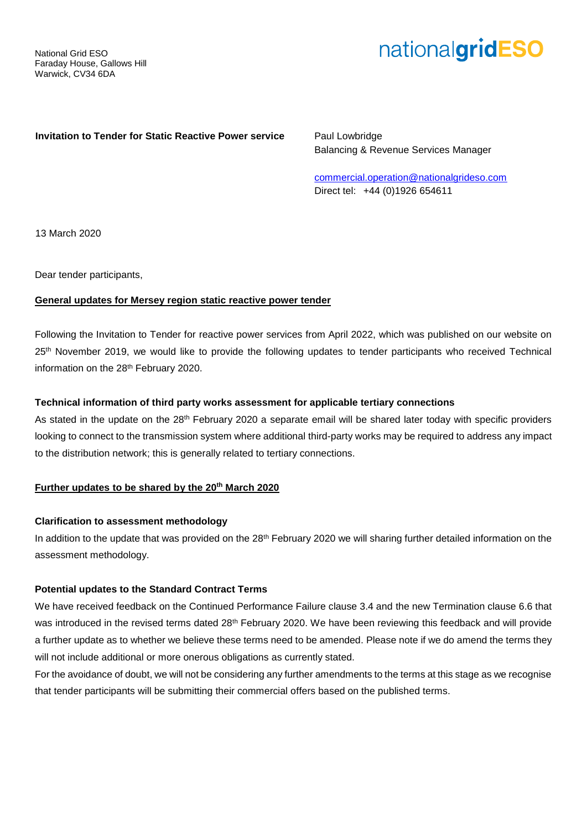# nationalgridESO

## **Invitation to Tender for Static Reactive Power service** Paul Lowbridge

Balancing & Revenue Services Manager

[commercial.operation@nationalgrideso.com](mailto:commercial.operation@nationalgrideso.com) Direct tel: +44 (0)1926 654611

13 March 2020

Dear tender participants,

## **General updates for Mersey region static reactive power tender**

Following the Invitation to Tender for reactive power services from April 2022, which was published on our website on 25<sup>th</sup> November 2019, we would like to provide the following updates to tender participants who received Technical information on the 28<sup>th</sup> February 2020.

## **Technical information of third party works assessment for applicable tertiary connections**

As stated in the update on the 28<sup>th</sup> February 2020 a separate email will be shared later today with specific providers looking to connect to the transmission system where additional third-party works may be required to address any impact to the distribution network; this is generally related to tertiary connections.

# **Further updates to be shared by the 20th March 2020**

#### **Clarification to assessment methodology**

In addition to the update that was provided on the  $28<sup>th</sup>$  February 2020 we will sharing further detailed information on the assessment methodology.

#### **Potential updates to the Standard Contract Terms**

We have received feedback on the Continued Performance Failure clause 3.4 and the new Termination clause 6.6 that was introduced in the revised terms dated 28<sup>th</sup> February 2020. We have been reviewing this feedback and will provide a further update as to whether we believe these terms need to be amended. Please note if we do amend the terms they will not include additional or more onerous obligations as currently stated.

For the avoidance of doubt, we will not be considering any further amendments to the terms at this stage as we recognise that tender participants will be submitting their commercial offers based on the published terms.